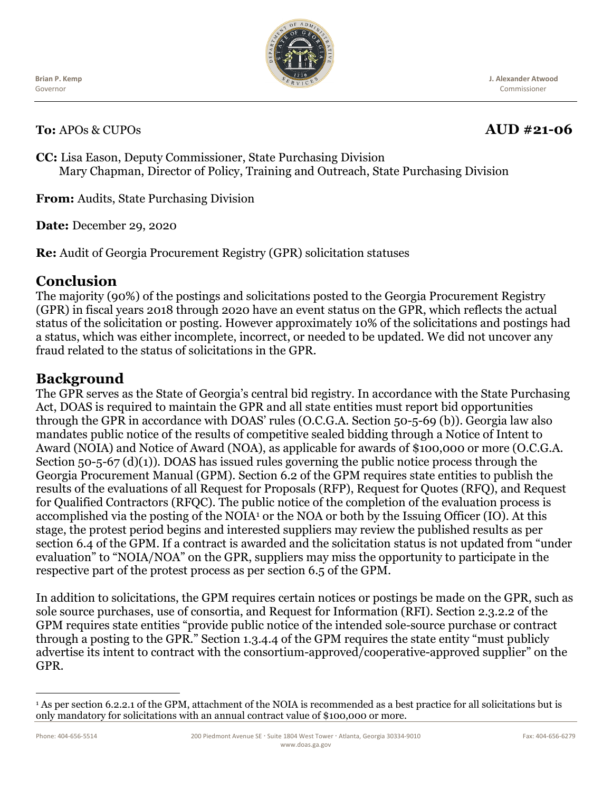**Brian P. Kemp** Governor

**To:** APOs & CUPOs **AUD** #21-06

# Commissioner

**J. Alexander Atwood**

**CC:** Lisa Eason, Deputy Commissioner, State Purchasing Division Mary Chapman, Director of Policy, Training and Outreach, State Purchasing Division

**From:** Audits, State Purchasing Division

**Date:** December 29, 2020

**Re:** Audit of Georgia Procurement Registry (GPR) solicitation statuses

### **Conclusion**

The majority (90%) of the postings and solicitations posted to the Georgia Procurement Registry (GPR) in fiscal years 2018 through 2020 have an event status on the GPR, which reflects the actual status of the solicitation or posting. However approximately 10% of the solicitations and postings had a status, which was either incomplete, incorrect, or needed to be updated. We did not uncover any fraud related to the status of solicitations in the GPR.

## **Background**

The GPR serves as the State of Georgia's central bid registry. In accordance with the State Purchasing Act, DOAS is required to maintain the GPR and all state entities must report bid opportunities through the GPR in accordance with DOAS' rules (O.C.G.A. Section 50-5-69 (b)). Georgia law also mandates public notice of the results of competitive sealed bidding through a Notice of Intent to Award (NOIA) and Notice of Award (NOA), as applicable for awards of \$100,000 or more (O.C.G.A. Section 50-5-67 (d)(1)). DOAS has issued rules governing the public notice process through the Georgia Procurement Manual (GPM). Section 6.2 of the GPM requires state entities to publish the results of the evaluations of all Request for Proposals (RFP), Request for Quotes (RFQ), and Request for Qualified Contractors (RFQC). The public notice of the completion of the evaluation process is accomplished via the posting of the NOIA[1](#page-0-0) or the NOA or both by the Issuing Officer (IO)*.* At this stage, the protest period begins and interested suppliers may review the published results as per section 6.4 of the GPM. If a contract is awarded and the solicitation status is not updated from "under evaluation" to "NOIA/NOA" on the GPR, suppliers may miss the opportunity to participate in the respective part of the protest process as per section 6.5 of the GPM.

In addition to solicitations, the GPM requires certain notices or postings be made on the GPR, such as sole source purchases, use of consortia, and Request for Information (RFI). Section 2.3.2.2 of the GPM requires state entities "provide public notice of the intended sole-source purchase or contract through a posting to the GPR." Section 1.3.4.4 of the GPM requires the state entity "must publicly advertise its intent to contract with the consortium-approved/cooperative-approved supplier" on the GPR.



<span id="page-0-0"></span><sup>1</sup> As per section 6.2.2.1 of the GPM, attachment of the NOIA is recommended as a best practice for all solicitations but is only mandatory for solicitations with an annual contract value of \$100,000 or more.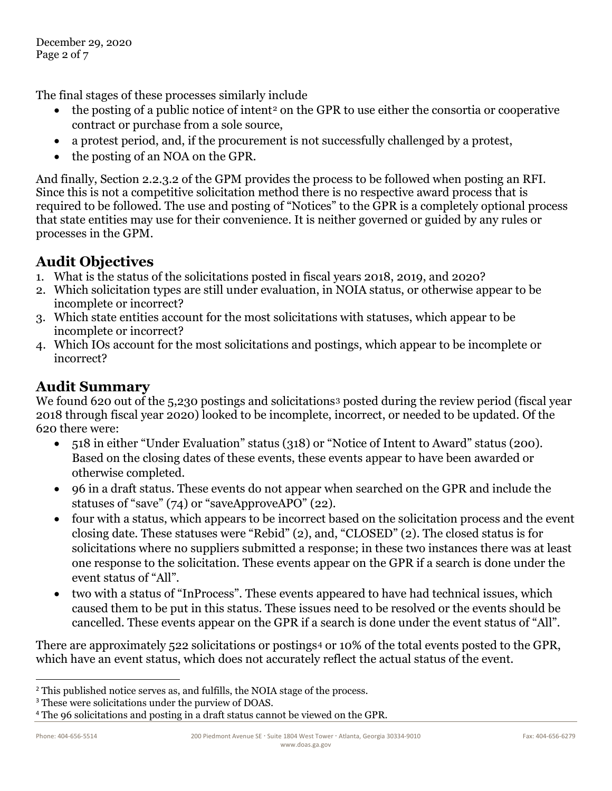The final stages of these processes similarly include

- $\bullet$  the posting of a public notice of intent<sup>[2](#page-1-0)</sup> on the GPR to use either the consortia or cooperative contract or purchase from a sole source,
- a protest period, and, if the procurement is not successfully challenged by a protest,
- the posting of an NOA on the GPR.

And finally, Section 2.2.3.2 of the GPM provides the process to be followed when posting an RFI. Since this is not a competitive solicitation method there is no respective award process that is required to be followed. The use and posting of "Notices" to the GPR is a completely optional process that state entities may use for their convenience. It is neither governed or guided by any rules or processes in the GPM.

# **Audit Objectives**

- 1. What is the status of the solicitations posted in fiscal years 2018, 2019, and 2020?
- 2. Which solicitation types are still under evaluation, in NOIA status, or otherwise appear to be incomplete or incorrect?
- 3. Which state entities account for the most solicitations with statuses, which appear to be incomplete or incorrect?
- 4. Which IOs account for the most solicitations and postings, which appear to be incomplete or incorrect?

# **Audit Summary**

We found 620 out of the 5,2[3](#page-1-1)0 postings and solicitations<sup>3</sup> posted during the review period (fiscal year 2018 through fiscal year 2020) looked to be incomplete, incorrect, or needed to be updated. Of the 620 there were:

- 518 in either "Under Evaluation" status (318) or "Notice of Intent to Award" status (200). Based on the closing dates of these events, these events appear to have been awarded or otherwise completed.
- 96 in a draft status. These events do not appear when searched on the GPR and include the statuses of "save" (74) or "saveApproveAPO" (22).
- four with a status, which appears to be incorrect based on the solicitation process and the event closing date. These statuses were "Rebid" (2), and, "CLOSED" (2). The closed status is for solicitations where no suppliers submitted a response; in these two instances there was at least one response to the solicitation. These events appear on the GPR if a search is done under the event status of "All".
- two with a status of "InProcess". These events appeared to have had technical issues, which caused them to be put in this status. These issues need to be resolved or the events should be cancelled. These events appear on the GPR if a search is done under the event status of "All".

There are approximately 522 solicitations or postings<sup>[4](#page-1-2)</sup> or 10% of the total events posted to the GPR, which have an event status, which does not accurately reflect the actual status of the event.

<span id="page-1-0"></span><sup>&</sup>lt;sup>2</sup> This published notice serves as, and fulfills, the NOIA stage of the process.

<span id="page-1-1"></span><sup>3</sup> These were solicitations under the purview of DOAS.

<span id="page-1-2"></span><sup>4</sup> The 96 solicitations and posting in a draft status cannot be viewed on the GPR.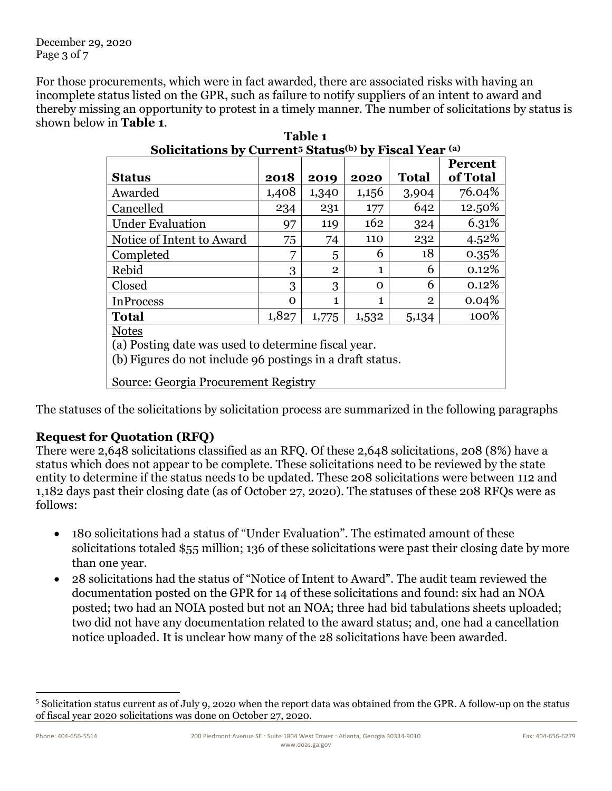December 29, 2020 Page 3 of 7

For those procurements, which were in fact awarded, there are associated risks with having an incomplete status listed on the GPR, such as failure to notify suppliers of an intent to award and thereby missing an opportunity to protest in a timely manner. The number of solicitations by status is shown below in **Table 1**.

| bonchations by Carrent <sup>o</sup> Blatus <sup>, 7</sup> by Fiscar Fear                                                         |          |                |          |              |                            |  |  |  |
|----------------------------------------------------------------------------------------------------------------------------------|----------|----------------|----------|--------------|----------------------------|--|--|--|
| <b>Status</b>                                                                                                                    | 2018     | 2019           | 2020     | <b>Total</b> | <b>Percent</b><br>of Total |  |  |  |
| Awarded                                                                                                                          | 1,408    | 1,340          | 1,156    | 3,904        | 76.04%                     |  |  |  |
| Cancelled                                                                                                                        | 234      | 231            | 177      | 642          | 12.50%                     |  |  |  |
| <b>Under Evaluation</b>                                                                                                          | 97       | 119            | 162      | 324          | 6.31%                      |  |  |  |
| Notice of Intent to Award                                                                                                        | 75       | 74             | 110      | 232          | 4.52%                      |  |  |  |
| Completed                                                                                                                        | 7        | 5              | 6        | 18           | 0.35%                      |  |  |  |
| Rebid                                                                                                                            | 3        | $\overline{2}$ | 1        | 6            | 0.12%                      |  |  |  |
| Closed                                                                                                                           | 3        | 3              | $\Omega$ | 6            | 0.12%                      |  |  |  |
| <b>InProcess</b>                                                                                                                 | $\Omega$ | 1              | 1        | $\mathbf{2}$ | 0.04%                      |  |  |  |
| <b>Total</b>                                                                                                                     | 1,827    | 1,775          | 1,532    | 5,134        | 100%                       |  |  |  |
| <b>Notes</b><br>(a) Posting date was used to determine fiscal year.<br>(b) Figures do not include 96 postings in a draft status. |          |                |          |              |                            |  |  |  |
| Source: Georgia Procurement Registry                                                                                             |          |                |          |              |                            |  |  |  |

| Table 1                                                                                   |
|-------------------------------------------------------------------------------------------|
| Solicitations by Current <sup>5</sup> Status <sup>(b)</sup> by Fiscal Year <sup>(a)</sup> |

The statuses of the solicitations by solicitation process are summarized in the following paragraphs

#### **Request for Quotation (RFQ)**

There were 2,648 solicitations classified as an RFQ. Of these 2,648 solicitations, 208 (8%) have a status which does not appear to be complete. These solicitations need to be reviewed by the state entity to determine if the status needs to be updated. These 208 solicitations were between 112 and 1,182 days past their closing date (as of October 27, 2020). The statuses of these 208 RFQs were as follows:

- 180 solicitations had a status of "Under Evaluation". The estimated amount of these solicitations totaled \$55 million; 136 of these solicitations were past their closing date by more than one year.
- 28 solicitations had the status of "Notice of Intent to Award". The audit team reviewed the documentation posted on the GPR for 14 of these solicitations and found: six had an NOA posted; two had an NOIA posted but not an NOA; three had bid tabulations sheets uploaded; two did not have any documentation related to the award status; and, one had a cancellation notice uploaded. It is unclear how many of the 28 solicitations have been awarded.

<span id="page-2-0"></span><sup>5</sup> Solicitation status current as of July 9, 2020 when the report data was obtained from the GPR. A follow-up on the status of fiscal year 2020 solicitations was done on October 27, 2020.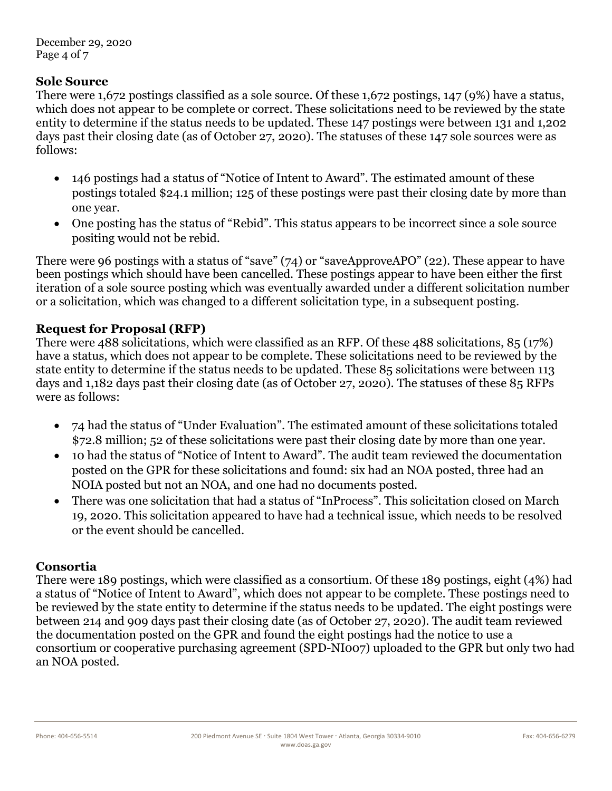December 29, 2020 Page 4 of 7

#### **Sole Source**

There were 1,672 postings classified as a sole source. Of these 1,672 postings, 147 (9%) have a status, which does not appear to be complete or correct. These solicitations need to be reviewed by the state entity to determine if the status needs to be updated. These 147 postings were between 131 and 1,202 days past their closing date (as of October 27, 2020). The statuses of these 147 sole sources were as follows:

- 146 postings had a status of "Notice of Intent to Award". The estimated amount of these postings totaled \$24.1 million; 125 of these postings were past their closing date by more than one year.
- One posting has the status of "Rebid". This status appears to be incorrect since a sole source positing would not be rebid.

There were 96 postings with a status of "save" (74) or "saveApproveAPO" (22). These appear to have been postings which should have been cancelled. These postings appear to have been either the first iteration of a sole source posting which was eventually awarded under a different solicitation number or a solicitation, which was changed to a different solicitation type, in a subsequent posting.

#### **Request for Proposal (RFP)**

There were 488 solicitations, which were classified as an RFP. Of these 488 solicitations, 85 (17%) have a status, which does not appear to be complete. These solicitations need to be reviewed by the state entity to determine if the status needs to be updated. These 85 solicitations were between 113 days and 1,182 days past their closing date (as of October 27, 2020). The statuses of these 85 RFPs were as follows:

- 74 had the status of "Under Evaluation". The estimated amount of these solicitations totaled \$72.8 million; 52 of these solicitations were past their closing date by more than one year.
- 10 had the status of "Notice of Intent to Award". The audit team reviewed the documentation posted on the GPR for these solicitations and found: six had an NOA posted, three had an NOIA posted but not an NOA, and one had no documents posted.
- There was one solicitation that had a status of "InProcess". This solicitation closed on March 19, 2020. This solicitation appeared to have had a technical issue, which needs to be resolved or the event should be cancelled.

#### **Consortia**

There were 189 postings, which were classified as a consortium. Of these 189 postings, eight (4%) had a status of "Notice of Intent to Award", which does not appear to be complete. These postings need to be reviewed by the state entity to determine if the status needs to be updated. The eight postings were between 214 and 909 days past their closing date (as of October 27, 2020). The audit team reviewed the documentation posted on the GPR and found the eight postings had the notice to use a consortium or cooperative purchasing agreement (SPD-NI007) uploaded to the GPR but only two had an NOA posted.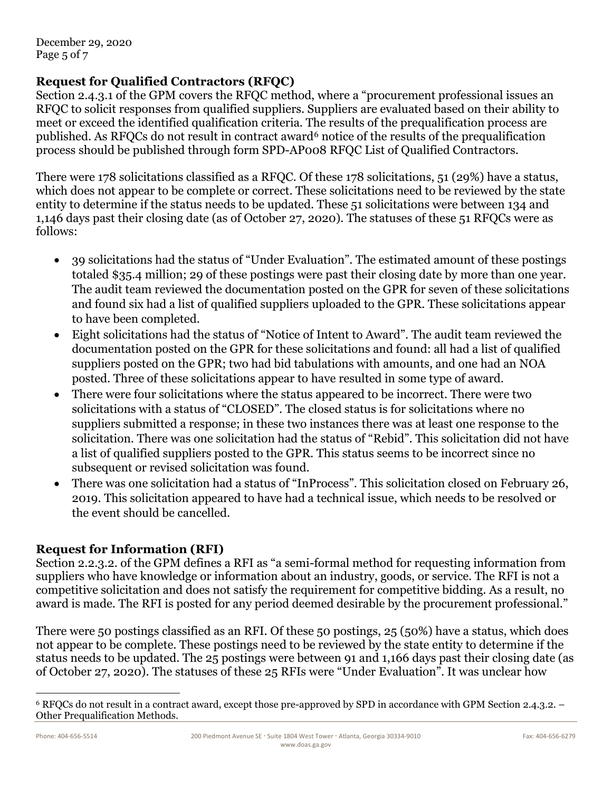December 29, 2020 Page 5 of 7

#### **Request for Qualified Contractors (RFQC)**

Section 2.4.3.1 of the GPM covers the RFQC method, where a "procurement professional issues an RFQC to solicit responses from qualified suppliers. Suppliers are evaluated based on their ability to meet or exceed the identified qualification criteria. The results of the prequalification process are published. As RFQCs do not result in contract award<sup>[6](#page-4-0)</sup> notice of the results of the prequalification process should be published through form SPD-AP008 RFQC List of Qualified Contractors.

There were 178 solicitations classified as a RFQC. Of these 178 solicitations, 51 (29%) have a status, which does not appear to be complete or correct. These solicitations need to be reviewed by the state entity to determine if the status needs to be updated. These 51 solicitations were between 134 and 1,146 days past their closing date (as of October 27, 2020). The statuses of these 51 RFQCs were as follows:

- 39 solicitations had the status of "Under Evaluation". The estimated amount of these postings totaled \$35.4 million; 29 of these postings were past their closing date by more than one year. The audit team reviewed the documentation posted on the GPR for seven of these solicitations and found six had a list of qualified suppliers uploaded to the GPR. These solicitations appear to have been completed.
- Eight solicitations had the status of "Notice of Intent to Award". The audit team reviewed the documentation posted on the GPR for these solicitations and found: all had a list of qualified suppliers posted on the GPR; two had bid tabulations with amounts, and one had an NOA posted. Three of these solicitations appear to have resulted in some type of award.
- There were four solicitations where the status appeared to be incorrect. There were two solicitations with a status of "CLOSED". The closed status is for solicitations where no suppliers submitted a response; in these two instances there was at least one response to the solicitation. There was one solicitation had the status of "Rebid". This solicitation did not have a list of qualified suppliers posted to the GPR. This status seems to be incorrect since no subsequent or revised solicitation was found.
- There was one solicitation had a status of "InProcess". This solicitation closed on February 26, 2019. This solicitation appeared to have had a technical issue, which needs to be resolved or the event should be cancelled.

#### **Request for Information (RFI)**

Section 2.2.3.2. of the GPM defines a RFI as "a semi-formal method for requesting information from suppliers who have knowledge or information about an industry, goods, or service. The RFI is not a competitive solicitation and does not satisfy the requirement for competitive bidding. As a result, no award is made. The RFI is posted for any period deemed desirable by the procurement professional."

There were 50 postings classified as an RFI. Of these 50 postings, 25 (50%) have a status, which does not appear to be complete. These postings need to be reviewed by the state entity to determine if the status needs to be updated. The 25 postings were between 91 and 1,166 days past their closing date (as of October 27, 2020). The statuses of these 25 RFIs were "Under Evaluation". It was unclear how

<span id="page-4-0"></span><sup>6</sup> RFQCs do not result in a contract award, except those pre-approved by SPD in accordance with GPM Section 2.4.3.2. – Other Prequalification Methods.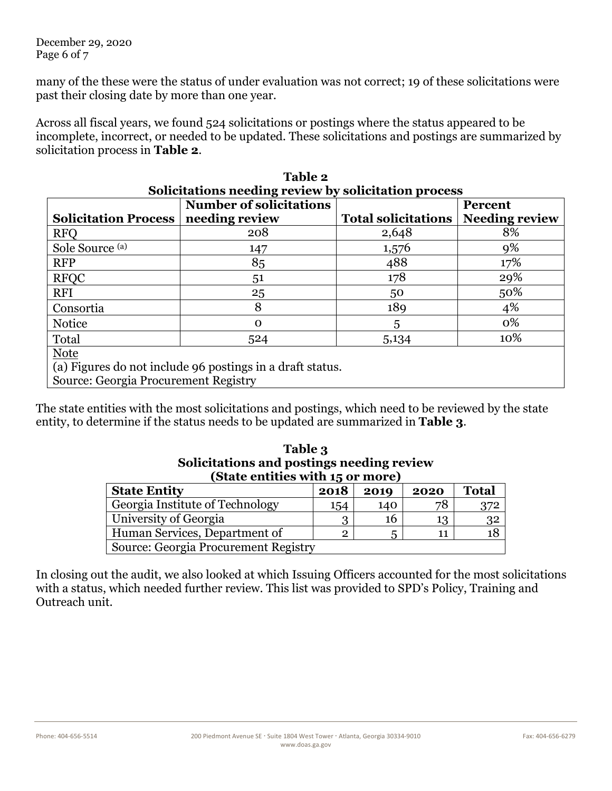December 29, 2020 Page 6 of 7

many of the these were the status of under evaluation was not correct; 19 of these solicitations were past their closing date by more than one year.

Across all fiscal years, we found 524 solicitations or postings where the status appeared to be incomplete, incorrect, or needed to be updated. These solicitations and postings are summarized by solicitation process in **Table 2**.

**Table 2**

| Solicitations needing review by solicitation process      |                                |                            |                       |  |  |  |
|-----------------------------------------------------------|--------------------------------|----------------------------|-----------------------|--|--|--|
|                                                           | <b>Number of solicitations</b> |                            | <b>Percent</b>        |  |  |  |
| <b>Solicitation Process</b>                               | needing review                 | <b>Total solicitations</b> | <b>Needing review</b> |  |  |  |
| <b>RFO</b>                                                | 208                            | 2,648                      | 8%                    |  |  |  |
| Sole Source (a)                                           | 147                            | 1,576                      | 9%                    |  |  |  |
| <b>RFP</b>                                                | 85                             | 488                        | 17%                   |  |  |  |
| <b>RFQC</b>                                               | 51                             | 178                        | 29%                   |  |  |  |
| <b>RFI</b>                                                | 25                             | 50                         | 50%                   |  |  |  |
| Consortia                                                 | 8                              | 189                        | 4%                    |  |  |  |
| <b>Notice</b>                                             | $\mathbf 0$                    | 5                          | 0%                    |  |  |  |
| Total                                                     | 524                            | 5,134                      | 10%                   |  |  |  |
| <b>Note</b>                                               |                                |                            |                       |  |  |  |
| (a) Figures do not include 96 postings in a draft status. |                                |                            |                       |  |  |  |
| Source: Georgia Procurement Registry                      |                                |                            |                       |  |  |  |

| The state entities with the most solicitations and postings, which need to be reviewed by the state |  |
|-----------------------------------------------------------------------------------------------------|--|
| entity, to determine if the status needs to be updated are summarized in <b>Table 3</b> .           |  |

| Table 3<br>Solicitations and postings needing review<br>(State entities with 15 or more) |                |      |      |              |  |  |  |  |
|------------------------------------------------------------------------------------------|----------------|------|------|--------------|--|--|--|--|
| <b>State Entity</b>                                                                      | 2018           | 2019 | 2020 | <b>Total</b> |  |  |  |  |
| Georgia Institute of Technology                                                          | 154            | 140  | 78   | 372          |  |  |  |  |
| University of Georgia                                                                    | 3              | 16   | 13   | 32           |  |  |  |  |
| Human Services, Department of                                                            | $\overline{2}$ | 5    | 11   | 18           |  |  |  |  |
| Source: Georgia Procurement Registry                                                     |                |      |      |              |  |  |  |  |

In closing out the audit, we also looked at which Issuing Officers accounted for the most solicitations with a status, which needed further review. This list was provided to SPD's Policy, Training and Outreach unit.